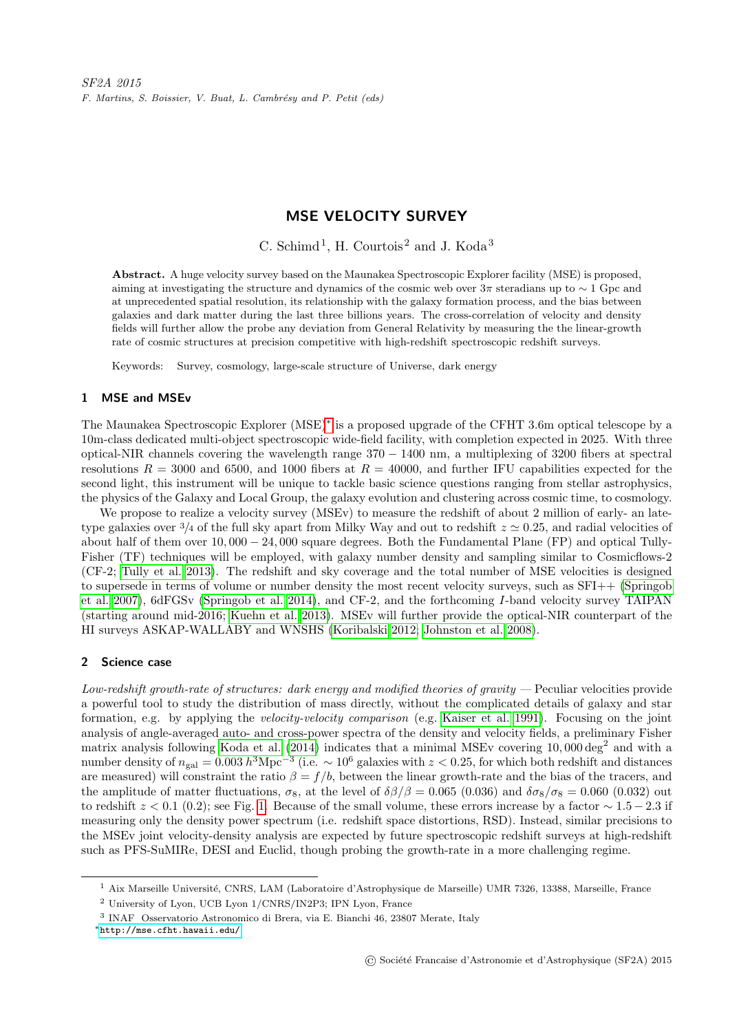# MSE VELOCITY SURVEY

C. Schimd<sup>1</sup>, H. Courtois<sup>2</sup> and J. Koda<sup>3</sup>

Abstract. A huge velocity survey based on the Maunakea Spectroscopic Explorer facility (MSE) is proposed, aiming at investigating the structure and dynamics of the cosmic web over  $3\pi$  steradians up to  $\sim 1$  Gpc and at unprecedented spatial resolution, its relationship with the galaxy formation process, and the bias between galaxies and dark matter during the last three billions years. The cross-correlation of velocity and density fields will further allow the probe any deviation from General Relativity by measuring the the linear-growth rate of cosmic structures at precision competitive with high-redshift spectroscopic redshift surveys.

Keywords: Survey, cosmology, large-scale structure of Universe, dark energy

#### 1 MSE and MSEv

The Maunakea Spectroscopic Explorer (MSE)[∗](#page-0-0) is a proposed upgrade of the CFHT 3.6m optical telescope by a 10m-class dedicated multi-object spectroscopic wide-field facility, with completion expected in 2025. With three optical-NIR channels covering the wavelength range 370 − 1400 nm, a multiplexing of 3200 fibers at spectral resolutions  $R = 3000$  and 6500, and 1000 fibers at  $R = 40000$ , and further IFU capabilities expected for the second light, this instrument will be unique to tackle basic science questions ranging from stellar astrophysics, the physics of the Galaxy and Local Group, the galaxy evolution and clustering across cosmic time, to cosmology.

We propose to realize a velocity survey (MSEv) to measure the redshift of about 2 million of early- an latetype galaxies over  $\frac{3}{4}$  of the full sky apart from Milky Way and out to redshift  $z \approx 0.25$ , and radial velocities of about half of them over 10, 000 − 24, 000 square degrees. Both the Fundamental Plane (FP) and optical Tully-Fisher (TF) techniques will be employed, with galaxy number density and sampling similar to Cosmicflows-2 (CF-2; [Tully et al. 2013\)](#page-2-0). The redshift and sky coverage and the total number of MSE velocities is designed to supersede in terms of volume or number density the most recent velocity surveys, such as SFI++ [\(Springob](#page-2-1) [et al. 2007\)](#page-2-1), 6dFGSv [\(Springob et al. 2014\)](#page-2-2), and CF-2, and the forthcoming I-band velocity survey TAIPAN (starting around mid-2016; [Kuehn et al. 2013\)](#page-2-3). MSEv will further provide the optical-NIR counterpart of the HI surveys ASKAP-WALLABY and WNSHS [\(Koribalski 2012;](#page-2-4) [Johnston et al. 2008\)](#page-2-5).

## 2 Science case

Low-redshift growth-rate of structures: dark energy and modified theories of gravity  $-$  Peculiar velocities provide a powerful tool to study the distribution of mass directly, without the complicated details of galaxy and star formation, e.g. by applying the velocity-velocity comparison (e.g. [Kaiser et al. 1991\)](#page-2-6). Focusing on the joint analysis of angle-averaged auto- and cross-power spectra of the density and velocity fields, a preliminary Fisher matrix analysis following [Koda et al.](#page-2-7) [\(2014\)](#page-2-7) indicates that a minimal MSEv covering  $10,000 \deg^2$  and with a number density of  $n_{\text{gal}} = 0.003 h^{3} \text{Mpc}^{-3}$  (i.e.  $\sim 10^{6}$  galaxies with  $z < 0.25$ , for which both redshift and distances are measured) will constraint the ratio  $\beta = f/b$ , between the linear growth-rate and the bias of the tracers, and the amplitude of matter fluctuations,  $\sigma_8$ , at the level of  $\delta\beta/\beta = 0.065$  (0.036) and  $\delta\sigma_8/\sigma_8 = 0.060$  (0.032) out to redshift  $z < 0.1$  (0.2); see Fig. [1.](#page-1-0) Because of the small volume, these errors increase by a factor  $\sim 1.5 - 2.3$  if measuring only the density power spectrum (i.e. redshift space distortions, RSD). Instead, similar precisions to the MSEv joint velocity-density analysis are expected by future spectroscopic redshift surveys at high-redshift such as PFS-SuMIRe, DESI and Euclid, though probing the growth-rate in a more challenging regime.

<sup>&</sup>lt;sup>1</sup> Aix Marseille Université, CNRS, LAM (Laboratoire d'Astrophysique de Marseille) UMR 7326, 13388, Marseille, France

<sup>2</sup> University of Lyon, UCB Lyon 1/CNRS/IN2P3; IPN Lyon, France

<sup>3</sup> INAF Osservatorio Astronomico di Brera, via E. Bianchi 46, 23807 Merate, Italy

<span id="page-0-0"></span><sup>∗</sup><http://mse.cfht.hawaii.edu/>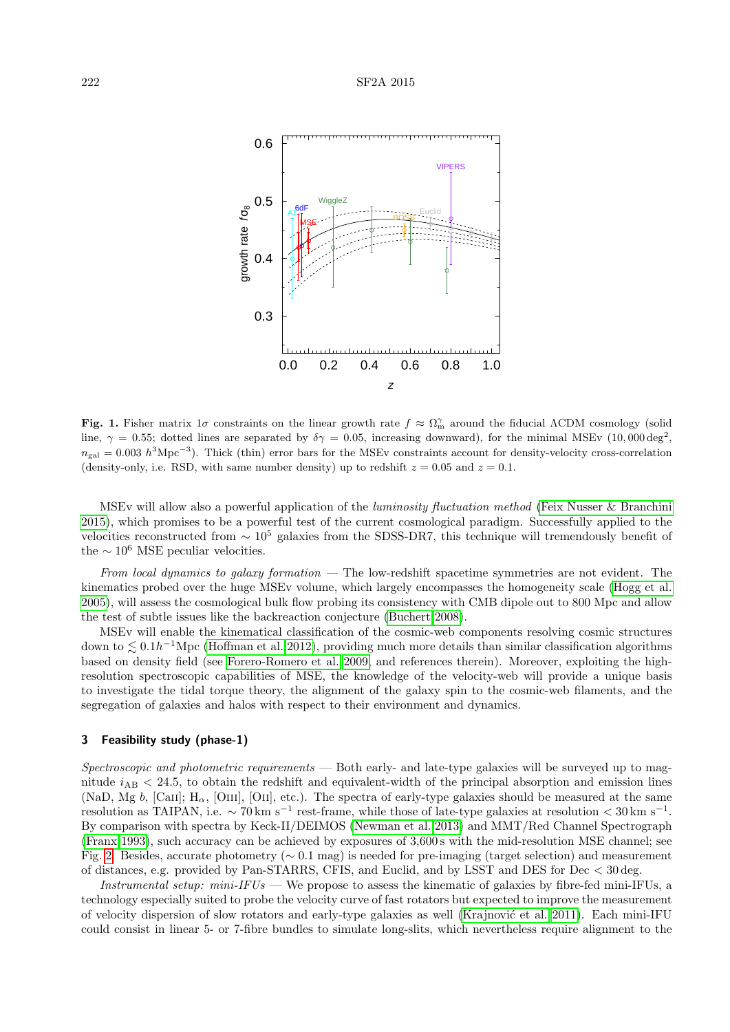

<span id="page-1-0"></span>Fig. 1. Fisher matrix 1 $\sigma$  constraints on the linear growth rate  $f \approx \Omega_m^{\gamma}$  around the fiducial ACDM cosmology (solid line,  $\gamma = 0.55$ ; dotted lines are separated by  $\delta \gamma = 0.05$ , increasing downward), for the minimal MSEv (10,000 deg<sup>2</sup>,  $n_{\text{gal}} = 0.003 h^{3} \text{Mpc}^{-3}$ ). Thick (thin) error bars for the MSEv constraints account for density-velocity cross-correlation (density-only, i.e. RSD, with same number density) up to redshift  $z = 0.05$  and  $z = 0.1$ .

MSEv will allow also a powerful application of the luminosity fluctuation method [\(Feix Nusser & Branchini](#page-2-8) [2015\)](#page-2-8), which promises to be a powerful test of the current cosmological paradigm. Successfully applied to the velocities reconstructed from  $\sim 10^5$  galaxies from the SDSS-DR7, this technique will tremendously benefit of the  $\sim 10^6$  MSE peculiar velocities.

From local dynamics to galaxy formation  $-$  The low-redshift spacetime symmetries are not evident. The kinematics probed over the huge MSEv volume, which largely encompasses the homogeneity scale [\(Hogg et al.](#page-2-9) [2005\)](#page-2-9), will assess the cosmological bulk flow probing its consistency with CMB dipole out to 800 Mpc and allow the test of subtle issues like the backreaction conjecture [\(Buchert 2008\)](#page-2-10).

MSEv will enable the kinematical classification of the cosmic-web components resolving cosmic structures down to  $\lesssim 0.1h^{-1}\text{Mpc}$  [\(Hoffman et al. 2012\)](#page-2-11), providing much more details than similar classification algorithms based on density field (see [Forero-Romero et al. 2009,](#page-2-12) and references therein). Moreover, exploiting the highresolution spectroscopic capabilities of MSE, the knowledge of the velocity-web will provide a unique basis to investigate the tidal torque theory, the alignment of the galaxy spin to the cosmic-web filaments, and the segregation of galaxies and halos with respect to their environment and dynamics.

### 3 Feasibility study (phase-1)

Spectroscopic and photometric requirements — Both early- and late-type galaxies will be surveyed up to magnitude  $i_{AB}$  < 24.5, to obtain the redshift and equivalent-width of the principal absorption and emission lines (NaD, Mg b, [Caii];  $H_{\alpha}$ , [Oiii], [Oii], etc.). The spectra of early-type galaxies should be measured at the same resolution as TAIPAN, i.e.  $\sim 70 \,\mathrm{km \ s^{-1}}$  rest-frame, while those of late-type galaxies at resolution  $< 30 \,\mathrm{km \ s^{-1}}$ . By comparison with spectra by Keck-II/DEIMOS [\(Newman et al. 2013\)](#page-2-13) and MMT/Red Channel Spectrograph [\(Franx 1993\)](#page-2-14), such accuracy can be achieved by exposures of 3,600 s with the mid-resolution MSE channel; see Fig. [2.](#page-2-15) Besides, accurate photometry (∼ 0.1 mag) is needed for pre-imaging (target selection) and measurement of distances, e.g. provided by Pan-STARRS, CFIS, and Euclid, and by LSST and DES for Dec < 30 deg.

Instrumental setup: mini-IFUs — We propose to assess the kinematic of galaxies by fibre-fed mini-IFUs, a technology especially suited to probe the velocity curve of fast rotators but expected to improve the measurement of velocity dispersion of slow rotators and early-type galaxies as well (Krajnović et al. 2011). Each mini-IFU could consist in linear 5- or 7-fibre bundles to simulate long-slits, which nevertheless require alignment to the